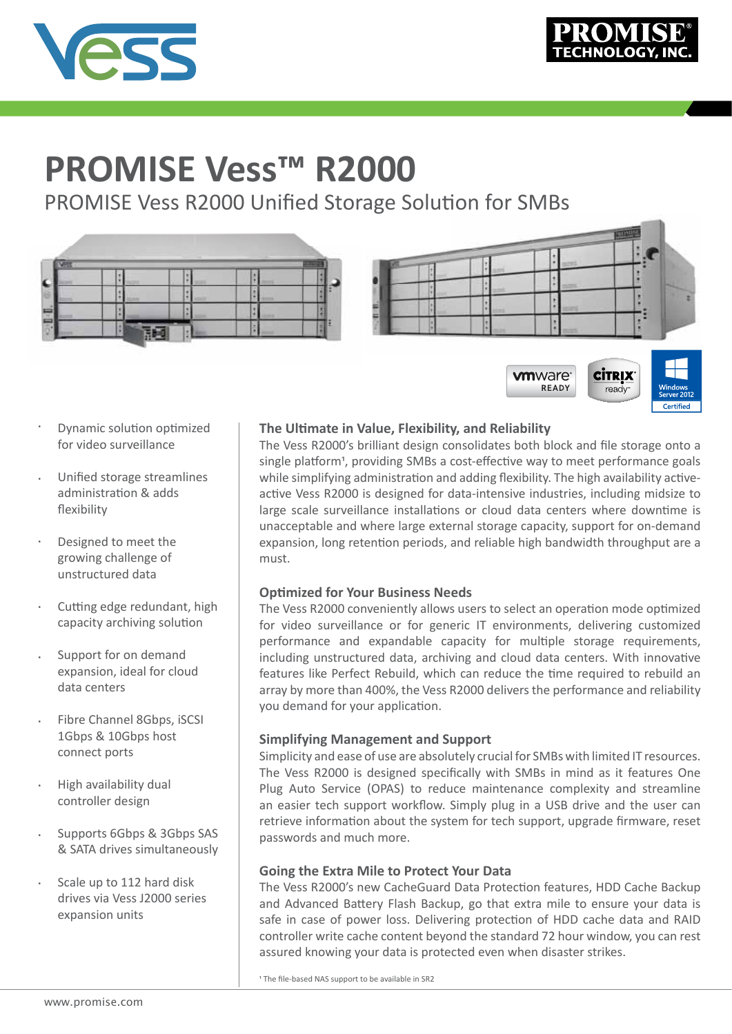

# **PROMISE Vess™ R2000**

PROMISE Vess R2000 Unified Storage Solution for SMBs



- Dynamic solution optimized for video surveillance •
- Unified storage streamlines administration & adds flexibility •
- Designed to meet the growing challenge of unstructured data •
- Cutting edge redundant, high capacity archiving solution •
- Support for on demand expansion, ideal for cloud data centers •
- Fibre Channel 8Gbps, iSCSI 1Gbps & 10Gbps host connect ports •
- High availability dual controller design •
- Supports 6Gbps & 3Gbps SAS & SATA drives simultaneously •
- Scale up to 112 hard disk drives via Vess J2000 series expansion units •

## **The Ultimate in Value, Flexibility, and Reliability**

The Vess R2000's brilliant design consolidates both block and file storage onto a single platform<sup>1</sup>, providing SMBs a cost-effective way to meet performance goals while simplifying administration and adding flexibility. The high availability activeactive Vess R2000 is designed for data-intensive industries, including midsize to large scale surveillance installations or cloud data centers where downtime is unacceptable and where large external storage capacity, support for on-demand expansion, long retention periods, and reliable high bandwidth throughput are a must.

READY

ready

### **Optimized for Your Business Needs**

The Vess R2000 conveniently allows users to select an operation mode optimized for video surveillance or for generic IT environments, delivering customized performance and expandable capacity for multiple storage requirements, including unstructured data, archiving and cloud data centers. With innovative features like Perfect Rebuild, which can reduce the time required to rebuild an array by more than 400%, the Vess R2000 delivers the performance and reliability you demand for your application.

### **Simplifying Management and Support**

Simplicity and ease of use are absolutely crucial for SMBs with limited IT resources. The Vess R2000 is designed specifically with SMBs in mind as it features One Plug Auto Service (OPAS) to reduce maintenance complexity and streamline an easier tech support workflow. Simply plug in a USB drive and the user can retrieve information about the system for tech support, upgrade firmware, reset passwords and much more.

### **Going the Extra Mile to Protect Your Data**

The Vess R2000's new CacheGuard Data Protection features, HDD Cache Backup and Advanced Battery Flash Backup, go that extra mile to ensure your data is safe in case of power loss. Delivering protection of HDD cache data and RAID controller write cache content beyond the standard 72 hour window, you can rest assured knowing your data is protected even when disaster strikes.